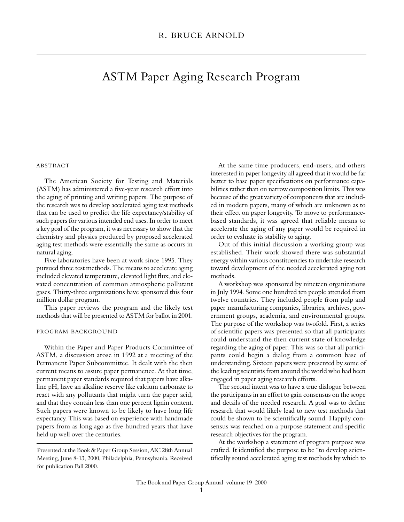# ASTM Paper Aging Research Program

### **ABSTRACT**

The American Society for Testing and Materials (ASTM) has administered a five-year research effort into the aging of printing and writing papers. The purpose of the research was to develop accelerated aging test methods that can be used to predict the life expectancy/stability of such papers for various intended end uses. In order to meet a key goal of the program, it was necessary to show that the chemistry and physics produced by proposed accelerated aging test methods were essentially the same as occurs in natural aging.

Five laboratories have been at work since 1995. They pursued three test methods. The means to accelerate aging included elevated temperature, elevated light flux, and elevated concentration of common atmospheric pollutant gases. Thirty-three organizations have sponsored this four million dollar program.

This paper reviews the program and the likely test methods that will be presented to ASTM for ballot in 2001.

## PROGRAM BACKGROUND

Within the Paper and Paper Products Committee of ASTM, a discussion arose in 1992 at a meeting of the Permanent Paper Subcommittee. It dealt with the then current means to assure paper permanence. At that time, permanent paper standards required that papers have alkaline pH, have an alkaline reserve like calcium carbonate to react with any pollutants that might turn the paper acid, and that they contain less than one percent lignin content. Such papers were known to be likely to have long life expectancy. This was based on experience with handmade papers from as long ago as five hundred years that have held up well over the centuries.

At the same time producers, end-users, and others interested in paper longevity all agreed that it would be far better to base paper specifications on performance capabilities rather than on narrow composition limits. This was because of the great variety of components that are included in modern papers, many of which are unknown as to their effect on paper longevity. To move to performancebased standards, it was agreed that reliable means to accelerate the aging of any paper would be required in order to evaluate its stability to aging.

Out of this initial discussion a working group was established. Their work showed there was substantial energy within various constituencies to undertake research toward development of the needed accelerated aging test methods.

A workshop was sponsored by nineteen organizations in July 1994. Some one hundred ten people attended from twelve countries. They included people from pulp and paper manufacturing companies, libraries, archives, government groups, academia, and environmental groups. The purpose of the workshop was twofold. First, a series of scientific papers was presented so that all participants could understand the then current state of knowledge regarding the aging of paper. This was so that all participants could begin a dialog from a common base of understanding. Sixteen papers were presented by some of the leading scientists from around the world who had been engaged in paper aging research efforts.

The second intent was to have a true dialogue between the participants in an effort to gain consensus on the scope and details of the needed research. A goal was to define research that would likely lead to new test methods that could be shown to be scientifically sound. Happily consensus was reached on a purpose statement and specific research objectives for the program.

At the workshop a statement of program purpose was crafted. It identified the purpose to be "to develop scientifically sound accelerated aging test methods by which to

Presented at the Book & Paper Group Session, AIC 28th Annual Meeting, June 8-13, 2000, Philadelphia, Pennsylvania. Received for publication Fall 2000.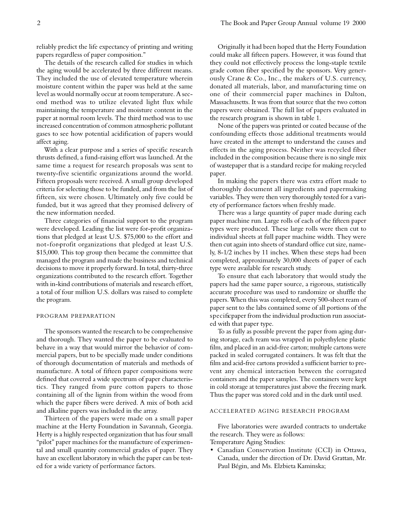reliably predict the life expectancy of printing and writing papers regardless of paper composition."

The details of the research called for studies in which the aging would be accelerated by three different means. They included the use of elevated temperature wherein moisture content within the paper was held at the same level as would normally occur at room temperature. A second method was to utilize elevated light flux while maintaining the temperature and moisture content in the paper at normal room levels. The third method was to use increased concentration of common atmospheric pollutant gases to see how potential acidification of papers would affect aging.

With a clear purpose and a series of specific research thrusts defined, a fund-raising effort was launched. At the same time a request for research proposals was sent to twenty-five scientific organizations around the world. Fifteen proposals were received. A small group developed criteria for selecting those to be funded, and from the list of fifteen, six were chosen. Ultimately only five could be funded, but it was agreed that they promised delivery of the new information needed.

Three categories of financial support to the program were developed. Leading the list were for-profit organizations that pledged at least U.S. \$75,000 to the effort and not-for-profit organizations that pledged at least U.S. \$15,000. This top group then became the committee that managed the program and made the business and technical decisions to move it properly forward. In total, thirty-three organizations contributed to the research effort. Together with in-kind contributions of materials and research effort, a total of four million U.S. dollars was raised to complete the program.

#### PROGRAM PREPARATION

The sponsors wanted the research to be comprehensive and thorough. They wanted the paper to be evaluated to behave in a way that would mirror the behavior of commercial papers, but to be specially made under conditions of thorough documentation of materials and methods of manufacture. A total of fifteen paper compositions were defined that covered a wide spectrum of paper characteristics. They ranged from pure cotton papers to those containing all of the lignin from within the wood from which the paper fibers were derived. A mix of both acid and alkaline papers was included in the array.

Thirteen of the papers were made on a small paper machine at the Herty Foundation in Savannah, Georgia. Herty is a highly respected organization that has four small "pilot" paper machines for the manufacture of experimental and small quantity commercial grades of paper. They have an excellent laboratory in which the paper can be tested for a wide variety of performance factors.

Originally it had been hoped that the Herty Foundation could make all fifteen papers. However, it was found that they could not effectively process the long-staple textile grade cotton fiber specified by the sponsors. Very generously Crane & Co., Inc., the makers of U.S. currency, donated all materials, labor, and manufacturing time on one of their commercial paper machines in Dalton, Massachusetts. It was from that source that the two cotton papers were obtained. The full list of papers evaluated in the research program is shown in table 1.

None of the papers was printed or coated because of the confounding effects those additional treatments would have created in the attempt to understand the causes and effects in the aging process. Neither was recycled fiber included in the composition because there is no single mix of wastepaper that is a standard recipe for making recycled paper.

In making the papers there was extra effort made to thoroughly document all ingredients and papermaking variables. They were then very thoroughly tested for a variety of performance factors when freshly made.

There was a large quantity of paper made during each paper machine run. Large rolls of each of the fifteen paper types were produced. These large rolls were then cut to individual sheets at full paper machine width. They were then cut again into sheets of standard office cut size, namely, 8-1/2 inches by 11 inches. When these steps had been completed, approximately 30,000 sheets of paper of each type were available for research study.

To ensure that each laboratory that would study the papers had the same paper source, a rigorous, statistically accurate procedure was used to randomize or shuffle the papers. When this was completed, every 500-sheet ream of paper sent to the labs contained some of all portions of the specificpaper from the individual production run associated with that paper type.

To as fully as possible prevent the paper from aging during storage, each ream was wrapped in polyethylene plastic film, and placed in an acid-free carton; multiple cartons were packed in sealed corrugated containers. It was felt that the film and acid-free cartons provided a sufficient barrier to prevent any chemical interaction between the corrugated containers and the paper samples. The containers were kept in cold storage at temperatures just above the freezing mark. Thus the paper was stored cold and in the dark until used.

#### ACCELERATED AGING RESEARCH PROGRAM

Five laboratories were awarded contracts to undertake the research. They were as follows:

Temperature Aging Studies:

• Canadian Conservation Institute (CCI) in Ottawa, Canada, under the direction of Dr. David Grattan, Mr. Paul Bégin, and Ms. Elzbieta Kaminska;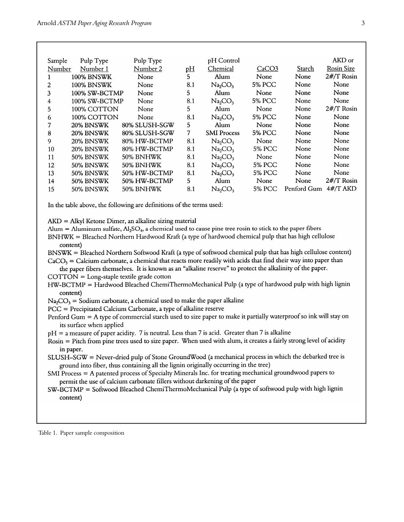| Sample | Pulp Type         | Pulp Type     |           | pH Control                      |                   |             | AKD or            |
|--------|-------------------|---------------|-----------|---------------------------------|-------------------|-------------|-------------------|
| Number | Number 1          | Number 2      | <u>рН</u> | Chemical                        | CaCO <sub>3</sub> | Starch      | <b>Rosin Size</b> |
|        | <b>100% BNSWK</b> | None          | 5         | Alum                            | None              | None        | $2#/T$ Rosin      |
| 2      | <b>100% BNSWK</b> | None          | 8.1       | Na <sub>2</sub> CO <sub>3</sub> | 5% PCC            | None        | None              |
| 3      | 100% SW-BCTMP     | None          | 5.        | Alum                            | None              | None        | None              |
| 4      | 100% SW-BCTMP     | None          | 8.1       | Na <sub>2</sub> CO <sub>3</sub> | <b>5% PCC</b>     | None        | None              |
| 5      | 100% COTTON       | None          | 5         | Alum                            | None              | None        | $2#/T$ Rosin      |
| 6      | 100% COTTON       | None          | 8.1       | Na <sub>2</sub> CO <sub>3</sub> | 5% PCC            | None        | None              |
| 7      | 20% BNSWK         | 80% SLUSH-SGW | 5         | Alum                            | None              | None        | None              |
| 8      | 20% BNSWK         | 80% SLUSH-SGW | 7         | <b>SMI</b> Process              | 5% PCC            | None        | None              |
| 9      | 20% BNSWK         | 80% HW-BCTMP  | 8.1       | Na <sub>2</sub> CO <sub>3</sub> | None              | None        | None              |
| 10     | 20% BNSWK         | 80% HW-BCTMP  | 8.1       | Na <sub>2</sub> CO <sub>3</sub> | 5% PCC            | None        | None              |
| 11     | 50% BNSWK         | 50% BNHWK     | 8.1       | Na <sub>2</sub> CO <sub>3</sub> | None              | None        | None              |
| 12     | 50% BNSWK         | 50% BNHWK     | 8.1       | Na <sub>2</sub> CO <sub>3</sub> | <b>5% PCC</b>     | None        | None              |
| 13     | 50% BNSWK         | 50% HW-BCTMP  | 8.1       | Na <sub>2</sub> CO <sub>3</sub> | <b>5% PCC</b>     | None        | None              |
| 14     | 50% BNSWK         | 50% HW-BCTMP  | 5         | Alum                            | None              | None        | $2#/T$ Rosin      |
| 15     | 50% BNSWK         | 50% BNHWK     | 8.1       | Na <sub>2</sub> CO <sub>3</sub> | 5% PCC            | Penford Gum | $4#/T$ AKD        |

In the table above, the following are definitions of the terms used:

 $AKD = Alkyl$  Ketone Dimer, an alkaline sizing material

Alum = Aluminum sulfate,  $Al_2SO_4$ , a chemical used to cause pine tree rosin to stick to the paper fibers

BNHWK = Bleached Northern Hardwood Kraft (a type of hardwood chemical pulp that has high cellulose content)

BNSWK = Bleached Northern Softwood Kraft (a type of softwood chemical pulp that has high cellulose content)

 $CaCO<sub>3</sub> = Calcium carbonate, a chemical that reacts more readily with acids that find their way into paper than$ the paper fibers themselves. It is known as an "alkaline reserve" to protect the alkalinity of the paper.

 $COTTON = Long-staple textile grade cotton$ 

HW-BCTMP = Hardwood Bleached ChemiThermoMechanical Pulp (a type of hardwood pulp with high lignin content)

 $Na_2CO_3$  = Sodium carbonate, a chemical used to make the paper alkaline

PCC = Precipitated Calcium Carbonate, a type of alkaline reserve

Penford Gum  $=$  A type of commercial starch used to size paper to make it partially waterproof so ink will stay on its surface when applied

 $pH = a$  measure of paper acidity. 7 is neutral. Less than 7 is acid. Greater than 7 is alkaline

Rosin = Pitch from pine trees used to size paper. When used with alum, it creates a fairly strong level of acidity in paper.

SLUSH-SGW = Never-dried pulp of Stone GroundWood (a mechanical process in which the debarked tree is ground into fiber, thus containing all the lignin originally occurring in the tree)

SMI Process = A patented process of Specialty Minerals Inc. for treating mechanical groundwood papers to permit the use of calcium carbonate fillers without darkening of the paper

SW-BCTMP = Softwood Bleached ChemiThermoMechanical Pulp (a type of softwood pulp with high lignin content)

Table 1. Paper sample composition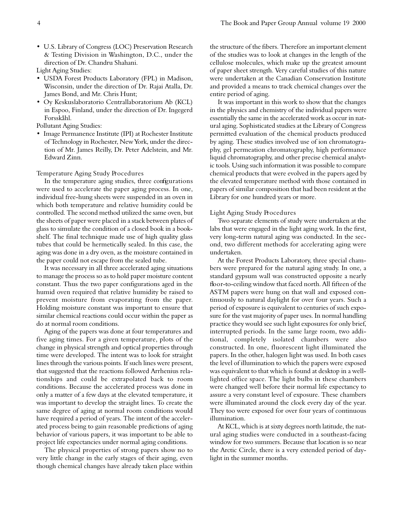• U.S. Library of Congress (LOC) Preservation Research & Testing Division in Washington, D.C., under the direction of Dr. Chandru Shahani.

Light Aging Studies:

- USDA Forest Products Laboratory (FPL) in Madison, Wisconsin, under the direction of Dr. Rajai Atalla, Dr. James Bond, and Mr. Chris Hunt;
- Oy Keskuslaboratorio Centrallaboratorium Ab (KCL) in Espoo, Finland, under the direction of Dr. Ingegerd Forsskåhl.

Pollutant Aging Studies:

• Image Permanence Institute (IPI) at Rochester Institute of Technology in Rochester, New York, under the direction of Mr. James Reilly, Dr. Peter Adelstein, and Mr. Edward Zinn.

Temperature Aging Study Procedures

In the temperature aging studies, three configurations were used to accelerate the paper aging process. In one, individual free-hung sheets were suspended in an oven in which both temperature and relative humidity could be controlled. The second method utilized the same oven, but the sheets of paper were placed in a stack between plates of glass to simulate the condition of a closed book in a bookshelf. The final technique made use of high quality glass tubes that could be hermetically sealed. In this case, the aging was done in a dry oven, as the moisture contained in the paper could not escape from the sealed tube.

It was necessary in all three accelerated aging situations to manage the process so as to hold paper moisture content constant. Thus the two paper configurations aged in the humid oven required that relative humidity be raised to prevent moisture from evaporating from the paper. Holding moisture constant was important to ensure that similar chemical reactions could occur within the paper as do at normal room conditions.

Aging of the papers was done at four temperatures and five aging times. For a given temperature, plots of the change in physical strength and optical properties through time were developed. The intent was to look for straight lines through the various points. If such lines were present, that suggested that the reactions followed Arrhenius relationships and could be extrapolated back to room conditions. Because the accelerated process was done in only a matter of a few days at the elevated temperature, it was important to develop the straight lines. To create the same degree of aging at normal room conditions would have required a period of years. The intent of the accelerated process being to gain reasonable predictions of aging behavior of various papers, it was important to be able to project life expectancies under normal aging conditions.

The physical properties of strong papers show no to very little change in the early stages of their aging, even though chemical changes have already taken place within

the structure of the fibers. Therefore an important element of the studies was to look at changes in the length of the cellulose molecules, which make up the greatest amount of paper sheet strength. Very careful studies of this nature were undertaken at the Canadian Conservation Institute and provided a means to track chemical changes over the entire period of aging.

It was important in this work to show that the changes in the physics and chemistry of the individual papers were essentially the same in the accelerated work as occur in natural aging. Sophisticated studies at the Library of Congress permitted evaluation of the chemical products produced by aging. These studies involved use of ion chromatography, gel permeation chromatography, high performance liquid chromatography, and other precise chemical analytic tools. Using such information it was possible to compare chemical products that were evolved in the papers aged by the elevated temperature method with those contained in papers of similar composition that had been resident at the Library for one hundred years or more.

## Light Aging Study Procedures

Two separate elements of study were undertaken at the labs that were engaged in the light aging work. In the first, very long-term natural aging was conducted. In the second, two different methods for accelerating aging were undertaken.

At the Forest Products Laboratory, three special chambers were prepared for the natural aging study. In one, a standard gypsum wall was constructed opposite a nearly floor-to-ceiling window that faced north. All fifteen of the ASTM papers were hung on that wall and exposed continuously to natural daylight for over four years. Such a period of exposure is equivalent to centuries of such exposure for the vast majority of paper uses. In normal handling practice they would see such light exposures for only brief, interrupted periods. In the same large room, two additional, completely isolated chambers were also constructed. In one, fluorescent light illuminated the papers. In the other, halogen light was used. In both cases the level of illumination to which the papers were exposed was equivalent to that which is found at desktop in a welllighted office space. The light bulbs in these chambers were changed well before their normal life expectancy to assure a very constant level of exposure. These chambers were illuminated around the clock every day of the year. They too were exposed for over four years of continuous illumination.

At KCL, which is at sixty degrees north latitude, the natural aging studies were conducted in a southeast-facing window for two summers. Because that location is so near the Arctic Circle, there is a very extended period of daylight in the summer months.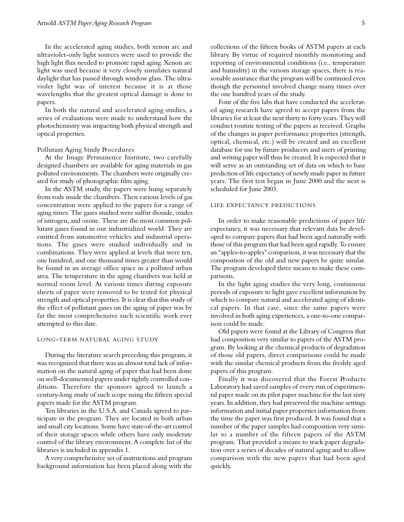In the accelerated aging studies, both xenon arc and ultraviolet-only light sources were used to provide the high light flux needed to promote rapid aging. Xenon arc light was used because it very closely simulates natural daylight that has passed through window glass. The ultraviolet light was of interest because it is at those wavelengths that the greatest optical damage is done to papers.

In both the natural and accelerated aging studies, a series of evaluations were made to understand how the photochemistry was impacting both physical strength and optical properties.

#### Pollutant Aging Study Procedures

At the Image Permanence Institute, two carefully designed chambers are available for aging materials in gas polluted environments. The chambers were originally created for study of photographic film aging.

In the ASTM study, the papers were hung separately from rods inside the chambers. Then various levels of gas concentration were applied to the papers for a range of aging times. The gases studied were sulfur dioxide, oxides of nitrogen, and ozone. These are the most common pollutant gases found in our industrialized world. They are emitted from automotive vehicles and industrial operations. The gases were studied individually and in combinations. They were applied at levels that were ten, one hundred, and one thousand times greater than would be found in an average office space in a polluted urban area. The temperature in the aging chambers was held at normal room level. At various times during exposure sheets of paper were removed to be tested for physical strength and optical properties. It is clear that this study of the effect of pollutant gases on the aging of paper was by far the most comprehensive such scientific work ever attempted to this date.

#### LONG-TERM NATURAL AGING STUDY

During the literature search preceding this program, it was recognized that there was an almost total lack of information on the natural aging of paper that had been done on well-documented papers under tightly controlled conditions. Therefore the sponsors agreed to launch a century-long study of such scope using the fifteen special papers made for the ASTM program.

Ten libraries in the U.S.A. and Canada agreed to participate in the program. They are located in both urban and small city locations. Some have state-of-the-art control of their storage spaces while others have only moderate control of the library environment. A complete list of the libraries is included in appendix 1.

A very comprehensive set of instructions and program background information has been placed along with the collections of the fifteen books of ASTM papers at each library. By virtue of required monthly monitoring and reporting of environmental conditions (i.e., temperature and humidity) in the various storage spaces, there is reasonable assurance that the program will be continued even though the personnel involved change many times over the one hundred years of the study.

Four of the five labs that have conducted the accelerated aging research have agreed to accept papers from the libraries for at least the next thirty to forty years. They will conduct routine testing of the papers as received. Graphs of the changes in paper performance properties (strength, optical, chemical, etc.) will be created and an excellent database for use by future producers and users of printing and writing paper will thus be created. It is expected that it will serve as an outstanding set of data on which to base prediction of life expectancy of newly made paper in future years. The first test began in June 2000 and the next is scheduled for June 2003.

#### LIFE EXPECTANCY PREDICTIONS

In order to make reasonable predictions of paper life expectancy, it was necessary that relevant data be developed to compare papers that had been aged naturally with those of this program that had been aged rapidly. To ensure an "apples-to-apples" comparison, it was necessary that the composition of the old and new papers be quite similar. The program developed three means to make these comparisons.

In the light aging studies the very long, continuous periods of exposure to light gave excellent information by which to compare natural and accelerated aging of identical papers. In that case, since the same papers were involved in both aging experiences, a one-to-one comparison could be made.

Old papers were found at the Library of Congress that had composition very similar to papers of the ASTM program. By looking at the chemical products of degradation of those old papers, direct comparisons could be made with the similar chemical products from the freshly aged papers of this program.

Finally it was discovered that the Forest Products Laboratory had saved samples of every run of experimental paper made on its pilot paper machine for the last sixty years. In addition, they had preserved the machine settings information and initial paper properties information from the time the paper was first produced. It was found that a number of the paper samples had composition very similar to a number of the fifteen papers of the ASTM program. That provided a means to track paper degradation over a series of decades of natural aging and to allow comparison with the new papers that had been aged quickly.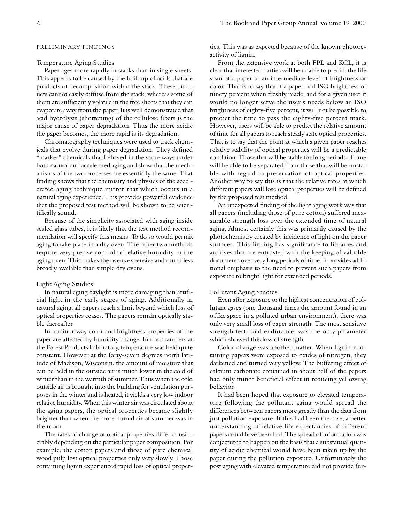#### Temperature Aging Studies

Paper ages more rapidly in stacks than in single sheets. This appears to be caused by the buildup of acids that are products of decomposition within the stack. These products cannot easily diffuse from the stack, whereas some of them are sufficiently volatile in the free sheets that they can evaporate away from the paper. It is well demonstrated that acid hydrolysis (shortening) of the cellulose fibers is the major cause of paper degradation. Thus the more acidic the paper becomes, the more rapid is its degradation.

Chromatography techniques were used to track chemicals that evolve during paper degradation. They defined "marker" chemicals that behaved in the same ways under both natural and accelerated aging and show that the mechanisms of the two processes are essentially the same. That finding shows that the chemistry and physics of the accelerated aging technique mirror that which occurs in a natural aging experience. This provides powerful evidence that the proposed test method will be shown to be scientifically sound.

Because of the simplicity associated with aging inside sealed glass tubes, it is likely that the test method recommendation will specify this means. To do so would permit aging to take place in a dry oven. The other two methods require very precise control of relative humidity in the aging oven. This makes the ovens expensive and much less broadly available than simple dry ovens.

#### Light Aging Studies

In natural aging daylight is more damaging than artificial light in the early stages of aging. Additionally in natural aging, all papers reach a limit beyond which loss of optical properties ceases. The papers remain optically stable thereafter.

In a minor way color and brightness properties of the paper are affected by humidity change. In the chambers at the Forest Products Laboratory, temperature was held quite constant. However at the forty-seven degrees north latitude of Madison, Wisconsin, the amount of moisture that can be held in the outside air is much lower in the cold of winter than in the warmth of summer. Thus when the cold outside air is brought into the building for ventilation purposes in the winter and is heated, it yields a very low indoor relative humidity. When this winter air was circulated about the aging papers, the optical properties became slightly brighter than when the more humid air of summer was in the room.

The rates of change of optical properties differ considerably depending on the particular paper composition. For example, the cotton papers and those of pure chemical wood pulp lost optical properties only very slowly. Those containing lignin experienced rapid loss of optical properties. This was as expected because of the known photoreactivity of lignin.

From the extensive work at both FPL and KCL, it is clear that interested parties will be unable to predict the life span of a paper to an intermediate level of brightness or color. That is to say that if a paper had ISO brightness of ninety percent when freshly made, and for a given user it would no longer serve the user's needs below an ISO brightness of eighty-five percent, it will not be possible to predict the time to pass the eighty-five percent mark. However, users will be able to predict the relative amount of time for all papers to reach steady state optical properties. That is to say that the point at which a given paper reaches relative stability of optical properties will be a predictable condition. Those that will be stable for long periods of time will be able to be separated from those that will be unstable with regard to preservation of optical properties. Another way to say this is that the relative rates at which different papers will lose optical properties will be defined by the proposed test method.

An unexpected finding of the light aging work was that all papers (including those of pure cotton) suffered measurable strength loss over the extended time of natural aging. Almost certainly this was primarily caused by the photochemistry created by incidence of light on the paper surfaces. This finding has significance to libraries and archives that are entrusted with the keeping of valuable documents over very long periods of time. It provides additional emphasis to the need to prevent such papers from exposure to bright light for extended periods.

#### Pollutant Aging Studies

Even after exposure to the highest concentration of pollutant gases (one thousand times the amount found in an o ffice space in a polluted urban environment), there was only very small loss of paper strength. The most sensitive strength test, fold endurance, was the only parameter which showed this loss of strength.

Color change was another matter. When lignin-containing papers were exposed to oxides of nitrogen, they darkened and turned very yellow. The buffering effect of calcium carbonate contained in about half of the papers had only minor beneficial effect in reducing yellowing behavior.

It had been hoped that exposure to elevated temperature following the pollutant aging would spread the differences between papers more greatly than the data from just pollution exposure. If this had been the case, a better understanding of relative life expectancies of different papers could have been had. The spread of information was conjectured to happen on the basis that a substantial quantity of acidic chemical would have been taken up by the paper during the pollution exposure. Unfortunately the post aging with elevated temperature did not provide fur-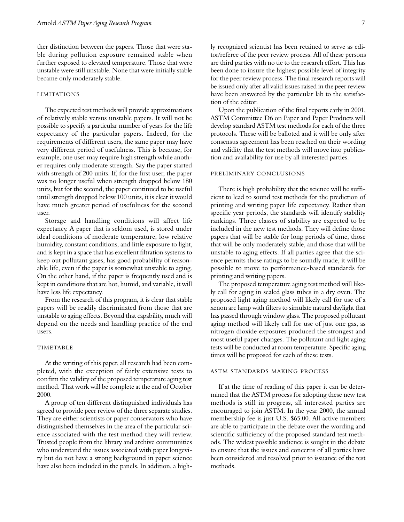ther distinction between the papers. Those that were stable during pollution exposure remained stable when further exposed to elevated temperature. Those that were unstable were still unstable. None that were initially stable became only moderately stable.

# L IMITATIONS

The expected test methods will provide approximations of relatively stable versus unstable papers. It will not be possible to specify a particular number of years for the life expectancy of the particular papers. Indeed, for the requirements of different users, the same paper may have very different period of usefulness. This is because, for example, one user may require high strength while another requires only moderate strength. Say the paper started with strength of 200 units. If, for the first user, the paper was no longer useful when strength dropped below 180 units, but for the second, the paper continued to be useful until strength dropped below 100 units, it is clear it would have much greater period of usefulness for the second user.

Storage and handling conditions will affect life expectancy. A paper that is seldom used, is stored under ideal conditions of moderate temperature, low relative humidity, constant conditions, and little exposure to light, and is kept in a space that has excellent filtration systems to keep out pollutant gases, has good probability of reasonable life, even if the paper is somewhat unstable to aging. On the other hand, if the paper is frequently used and is kept in conditions that are hot, humid, and variable, it will have less life expectancy.

From the research of this program, it is clear that stable papers will be readily discriminated from those that are unstable to aging effects. Beyond that capability, much will depend on the needs and handling practice of the end users.

## **TIMETABLE**

At the writing of this paper, all research had been completed, with the exception of fairly extensive tests to con firm the validity of the proposed temperature aging test method. That work will be complete at the end of October 2000.

A group of ten different distinguished individuals has agreed to provide peer review of the three separate studies. They are either scientists or paper conservators who have distinguished themselves in the area of the particular science associated with the test method they will review. Trusted people from the library and archive communities who understand the issues associated with paper longevity but do not have a strong background in paper science have also been included in the panels. In addition, a highly recognized scientist has been retained to serve as editor/referee of the peer review process. All of these persons are third parties with no tie to the research effort. This has been done to insure the highest possible level of integrity for the peer review process. The final research reports will be issued only after all valid issues raised in the peer review have been answered by the particular lab to the satisfaction of the editor.

Upon the publication of the final reports early in 2001, ASTM Committee D6 on Paper and Paper Products will develop standard ASTM test methods for each of the three protocols. These will be balloted and it will be only after consensus agreement has been reached on their wording and validity that the test methods will move into publication and availability for use by all interested parties.

#### PRELIMINARY CONCLUSIONS

There is high probability that the science will be sufficient to lead to sound test methods for the prediction of printing and writing paper life expectancy. Rather than specific year periods, the standards will identify stability rankings. Three classes of stability are expected to be included in the new test methods. They will define those papers that will be stable for long periods of time, those that will be only moderately stable, and those that will be unstable to aging effects. If all parties agree that the science permits those ratings to be soundly made, it will be possible to move to performance-based standards for printing and writing papers.

The proposed temperature aging test method will likely call for aging in sealed glass tubes in a dry oven. The proposed light aging method will likely call for use of a xenon arc lamp with filters to simulate natural daylight that has passed through window glass. The proposed pollutant aging method will likely call for use of just one gas, as nitrogen dioxide exposures produced the strongest and most useful paper changes. The pollutant and light aging tests will be conducted at room temperature. Specific aging times will be proposed for each of these tests.

## ASTM STANDARDS MAKING PROCESS

If at the time of reading of this paper it can be determined that the ASTM process for adopting these new test methods is still in progress, all interested parties are encouraged to join ASTM. In the year 2000, the annual membership fee is just U.S. \$65.00. All active members are able to participate in the debate over the wording and scientific sufficiency of the proposed standard test methods. The widest possible audience is sought in the debate to ensure that the issues and concerns of all parties have been considered and resolved prior to issuance of the test methods.